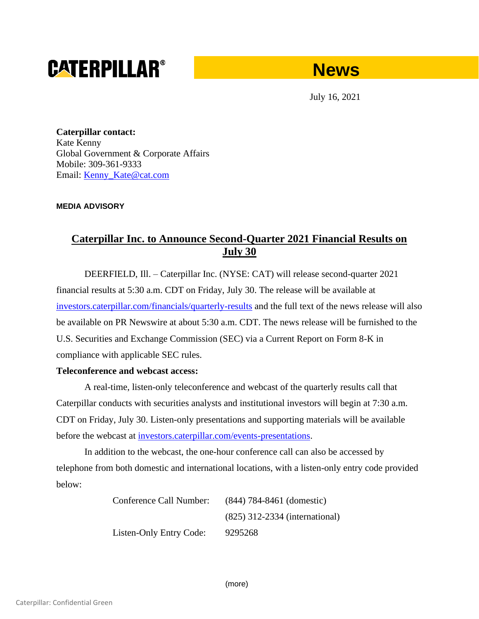# **CATERPILLAR®**



July 16, 2021

**Caterpillar contact:** Kate Kenny Global Government & Corporate Affairs Mobile: 309-361-9333 Email: Kenny Kate@cat.com

## **MEDIA ADVISORY**

## **Caterpillar Inc. to Announce Second-Quarter 2021 Financial Results on July 30**

DEERFIELD, Ill. – Caterpillar Inc. (NYSE: CAT) will release second-quarter 2021 financial results at 5:30 a.m. CDT on Friday, July 30. The release will be available at [investors.caterpillar.com/financials/quarterly-results](https://urldefense.proofpoint.com/v2/url?u=http-3A__investors.caterpillar.com_financials_quarterly-2Dresults_default.aspx&d=DwMFaQ&c=p0oa49nxxGtbbM2qgM-GB4r4m9OlGg-sEp8sXylY2aQ&r=ChFpIDwMP3n2mDVetqg7nUR0q8asxGdkIPgxegz0rXo&m=JXGIGH4hUTT8HRfLkToNol34SAB1cTYaakKAvb2w_Ow&s=hQhvaBY5jqQBUCYGDjzDKj37obDqxXwNPtAm_tVPR6I&e=) and the full text of the news release will also be available on PR Newswire at about 5:30 a.m. CDT. The news release will be furnished to the U.S. Securities and Exchange Commission (SEC) via a Current Report on Form 8-K in compliance with applicable SEC rules.

## **Teleconference and webcast access:**

A real-time, listen-only teleconference and webcast of the quarterly results call that Caterpillar conducts with securities analysts and institutional investors will begin at 7:30 a.m. CDT on Friday, July 30. Listen-only presentations and supporting materials will be available before the webcast at [investors.caterpillar.com/events-presentations.](https://urldefense.proofpoint.com/v2/url?u=http-3A__investors.caterpillar.com_events-2Dpresentations_default.aspx&d=DwMFaQ&c=p0oa49nxxGtbbM2qgM-GB4r4m9OlGg-sEp8sXylY2aQ&r=ChFpIDwMP3n2mDVetqg7nUR0q8asxGdkIPgxegz0rXo&m=JXGIGH4hUTT8HRfLkToNol34SAB1cTYaakKAvb2w_Ow&s=4lvfR9N_rhbP-7QwP0Pz0IVB0dhvKlQALIQFOchfKKs&e=)

In addition to the webcast, the one-hour conference call can also be accessed by telephone from both domestic and international locations, with a listen-only entry code provided below:

> Conference Call Number: (844) 784-8461 (domestic) (825) 312-2334 (international) Listen-Only Entry Code: 9295268